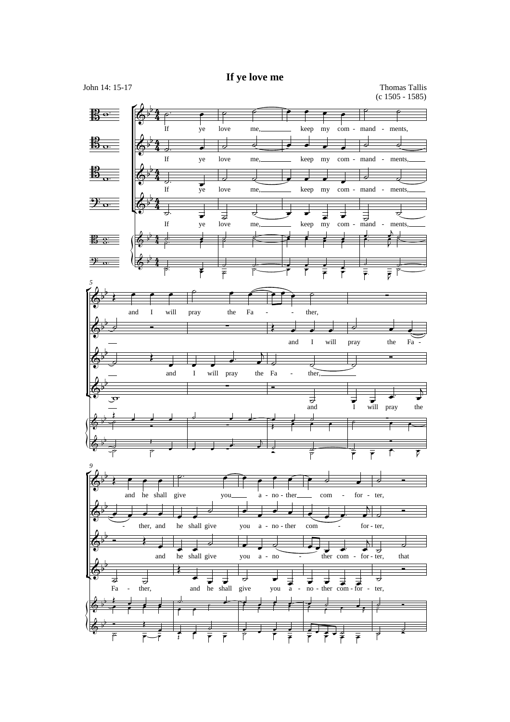## **If ye love me**

John 14: 15-17 Thomas Tallis (c 1505 - 1585)